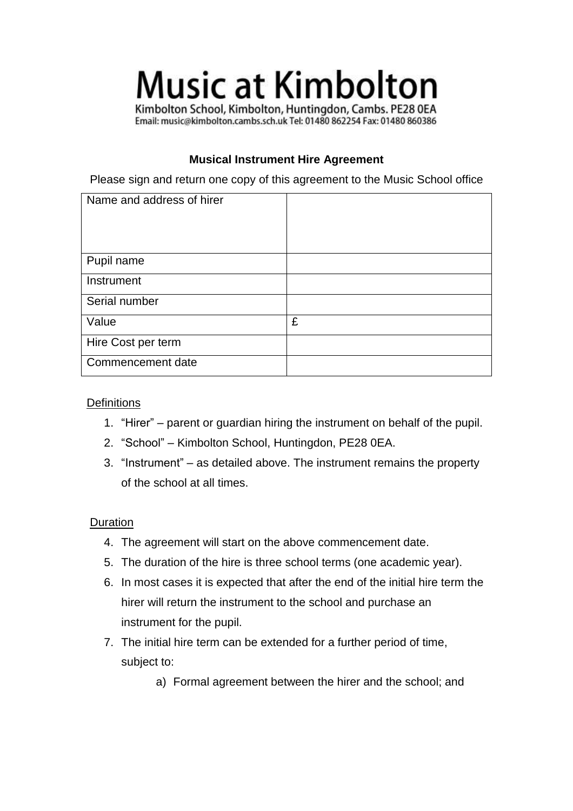# **Music at Kimbolton**

Kimbolton School, Kimbolton, Huntingdon, Cambs. PE28 0EA Email: music@kimbolton.cambs.sch.uk Tel: 01480 862254 Fax: 01480 860386

## **Musical Instrument Hire Agreement**

Please sign and return one copy of this agreement to the Music School office

| Name and address of hirer |   |
|---------------------------|---|
| Pupil name                |   |
| Instrument                |   |
| Serial number             |   |
| Value                     | £ |
| Hire Cost per term        |   |
| Commencement date         |   |

### **Definitions**

- 1. "Hirer" parent or guardian hiring the instrument on behalf of the pupil.
- 2. "School" Kimbolton School, Huntingdon, PE28 0EA.
- 3. "Instrument" as detailed above. The instrument remains the property of the school at all times.

### Duration

- 4. The agreement will start on the above commencement date.
- 5. The duration of the hire is three school terms (one academic year).
- 6. In most cases it is expected that after the end of the initial hire term the hirer will return the instrument to the school and purchase an instrument for the pupil.
- 7. The initial hire term can be extended for a further period of time, subject to:
	- a) Formal agreement between the hirer and the school; and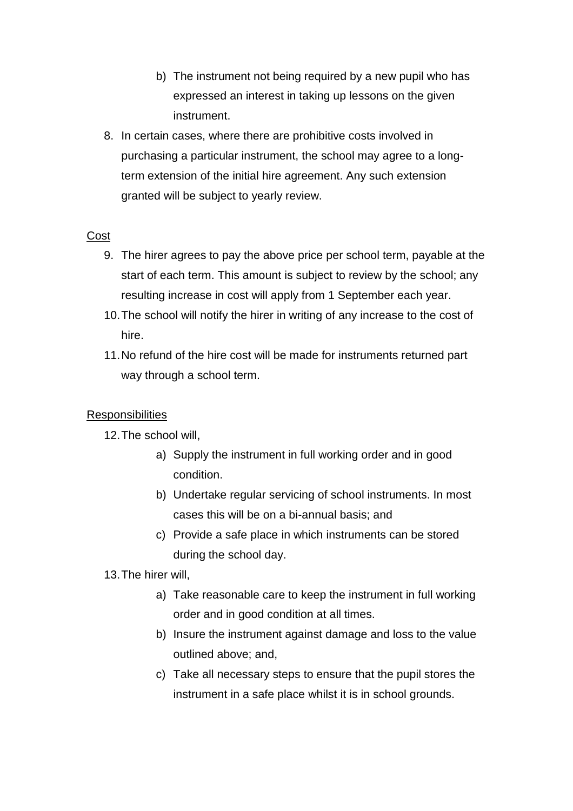- b) The instrument not being required by a new pupil who has expressed an interest in taking up lessons on the given instrument.
- 8. In certain cases, where there are prohibitive costs involved in purchasing a particular instrument, the school may agree to a longterm extension of the initial hire agreement. Any such extension granted will be subject to yearly review.

### **Cost**

- 9. The hirer agrees to pay the above price per school term, payable at the start of each term. This amount is subject to review by the school; any resulting increase in cost will apply from 1 September each year.
- 10.The school will notify the hirer in writing of any increase to the cost of hire.
- 11.No refund of the hire cost will be made for instruments returned part way through a school term.

### **Responsibilities**

12.The school will,

- a) Supply the instrument in full working order and in good condition.
- b) Undertake regular servicing of school instruments. In most cases this will be on a bi-annual basis; and
- c) Provide a safe place in which instruments can be stored during the school day.

13.The hirer will,

- a) Take reasonable care to keep the instrument in full working order and in good condition at all times.
- b) Insure the instrument against damage and loss to the value outlined above; and,
- c) Take all necessary steps to ensure that the pupil stores the instrument in a safe place whilst it is in school grounds.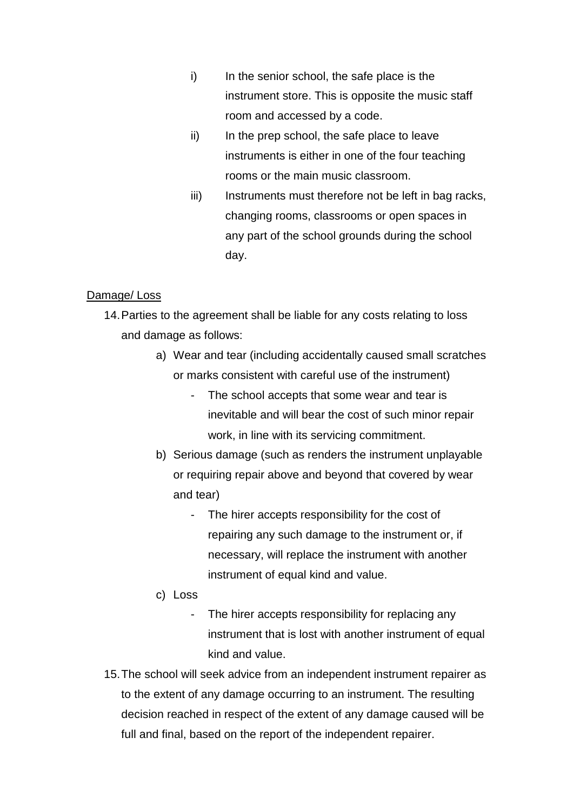- i) In the senior school, the safe place is the instrument store. This is opposite the music staff room and accessed by a code.
- ii) In the prep school, the safe place to leave instruments is either in one of the four teaching rooms or the main music classroom.
- iii) Instruments must therefore not be left in bag racks, changing rooms, classrooms or open spaces in any part of the school grounds during the school day.

#### Damage/ Loss

- 14.Parties to the agreement shall be liable for any costs relating to loss and damage as follows:
	- a) Wear and tear (including accidentally caused small scratches or marks consistent with careful use of the instrument)
		- The school accepts that some wear and tear is inevitable and will bear the cost of such minor repair work, in line with its servicing commitment.
	- b) Serious damage (such as renders the instrument unplayable or requiring repair above and beyond that covered by wear and tear)
		- The hirer accepts responsibility for the cost of repairing any such damage to the instrument or, if necessary, will replace the instrument with another instrument of equal kind and value.
	- c) Loss
		- The hirer accepts responsibility for replacing any instrument that is lost with another instrument of equal kind and value.
- 15.The school will seek advice from an independent instrument repairer as to the extent of any damage occurring to an instrument. The resulting decision reached in respect of the extent of any damage caused will be full and final, based on the report of the independent repairer.